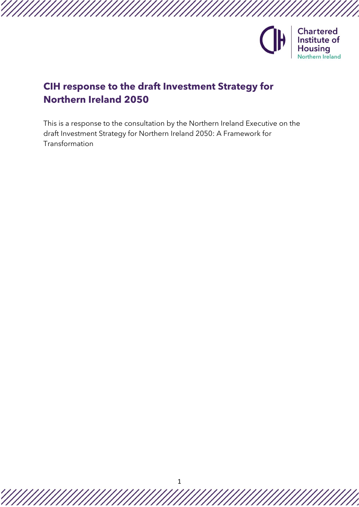

# **CIH response to the draft Investment Strategy for Northern Ireland 2050**

This is a response to the consultation by the Northern Ireland Executive on the draft Investment Strategy for Northern Ireland 2050: A Framework for Transformation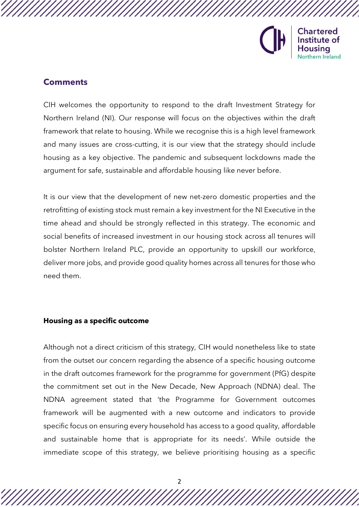

# **Comments**

CIH welcomes the opportunity to respond to the draft Investment Strategy for Northern Ireland (NI). Our response will focus on the objectives within the draft framework that relate to housing. While we recognise this is a high level framework and many issues are cross-cutting, it is our view that the strategy should include housing as a key objective. The pandemic and subsequent lockdowns made the argument for safe, sustainable and affordable housing like never before.

It is our view that the development of new net-zero domestic properties and the retrofitting of existing stock must remain a key investment for the NI Executive in the time ahead and should be strongly reflected in this strategy. The economic and social benefits of increased investment in our housing stock across all tenures will bolster Northern Ireland PLC, provide an opportunity to upskill our workforce, deliver more jobs, and provide good quality homes across all tenures for those who need them.

#### **Housing as a specific outcome**

Although not a direct criticism of this strategy, CIH would nonetheless like to state from the outset our concern regarding the absence of a specific housing outcome in the draft outcomes framework for the programme for government (PfG) despite the commitment set out in the New Decade, New Approach (NDNA) deal. The NDNA agreement stated that 'the Programme for Government outcomes framework will be augmented with a new outcome and indicators to provide specific focus on ensuring every household has access to a good quality, affordable and sustainable home that is appropriate for its needs'. While outside the immediate scope of this strategy, we believe prioritising housing as a specific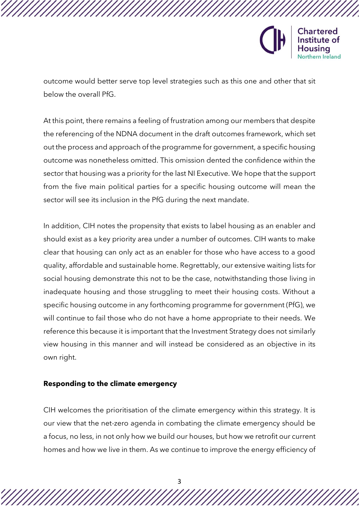

outcome would better serve top level strategies such as this one and other that sit below the overall PfG.

At this point, there remains a feeling of frustration among our members that despite the referencing of the NDNA document in the draft outcomes framework, which set out the process and approach of the programme for government, a specific housing outcome was nonetheless omitted. This omission dented the confidence within the sector that housing was a priority for the last NI Executive. We hope that the support from the five main political parties for a specific housing outcome will mean the sector will see its inclusion in the PfG during the next mandate.

In addition, CIH notes the propensity that exists to label housing as an enabler and should exist as a key priority area under a number of outcomes. CIH wants to make clear that housing can only act as an enabler for those who have access to a good quality, affordable and sustainable home. Regrettably, our extensive waiting lists for social housing demonstrate this not to be the case, notwithstanding those living in inadequate housing and those struggling to meet their housing costs. Without a specific housing outcome in any forthcoming programme for government (PfG), we will continue to fail those who do not have a home appropriate to their needs. We reference this because it is important that the Investment Strategy does not similarly view housing in this manner and will instead be considered as an objective in its own right.

#### **Responding to the climate emergency**

CIH welcomes the prioritisation of the climate emergency within this strategy. It is our view that the net-zero agenda in combating the climate emergency should be a focus, no less, in not only how we build our houses, but how we retrofit our current homes and how we live in them. As we continue to improve the energy efficiency of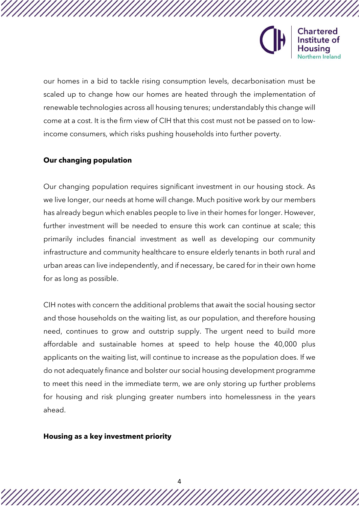

our homes in a bid to tackle rising consumption levels, decarbonisation must be scaled up to change how our homes are heated through the implementation of renewable technologies across all housing tenures; understandably this change will come at a cost. It is the firm view of CIH that this cost must not be passed on to lowincome consumers, which risks pushing households into further poverty.

## **Our changing population**

Our changing population requires significant investment in our housing stock. As we live longer, our needs at home will change. Much positive work by our members has already begun which enables people to live in their homes for longer. However, further investment will be needed to ensure this work can continue at scale; this primarily includes financial investment as well as developing our community infrastructure and community healthcare to ensure elderly tenants in both rural and urban areas can live independently, and if necessary, be cared for in their own home for as long as possible.

CIH notes with concern the additional problems that await the social housing sector and those households on the waiting list, as our population, and therefore housing need, continues to grow and outstrip supply. The urgent need to build more affordable and sustainable homes at speed to help house the 40,000 plus applicants on the waiting list, will continue to increase as the population does. If we do not adequately finance and bolster our social housing development programme to meet this need in the immediate term, we are only storing up further problems for housing and risk plunging greater numbers into homelessness in the years ahead.

#### **Housing as a key investment priority**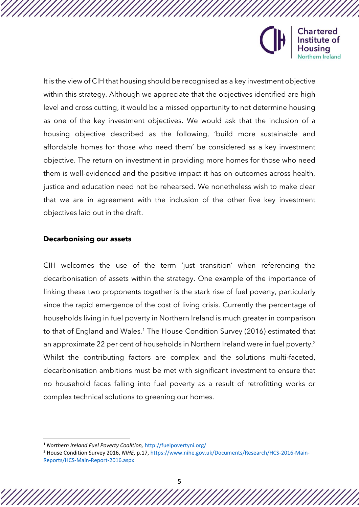

**Chartered** Institute of ısina Northern Ireland

It is the view of CIH that housing should be recognised as a key investment objective within this strategy. Although we appreciate that the objectives identified are high level and cross cutting, it would be a missed opportunity to not determine housing as one of the key investment objectives. We would ask that the inclusion of a housing objective described as the following, 'build more sustainable and affordable homes for those who need them' be considered as a key investment objective. The return on investment in providing more homes for those who need them is well-evidenced and the positive impact it has on outcomes across health, justice and education need not be rehearsed. We nonetheless wish to make clear that we are in agreement with the inclusion of the other five key investment objectives laid out in the draft.

## **Decarbonising our assets**

CIH welcomes the use of the term 'just transition' when referencing the decarbonisation of assets within the strategy. One example of the importance of linking these two proponents together is the stark rise of fuel poverty, particularly since the rapid emergence of the cost of living crisis. Currently the percentage of households living in fuel poverty in Northern Ireland is much greater in comparison to that of England and Wales.<sup>1</sup> The House Condition Survey (2016) estimated that an approximate 22 per cent of households in Northern Ireland were in fuel poverty.<sup>2</sup> Whilst the contributing factors are complex and the solutions multi-faceted, decarbonisation ambitions must be met with significant investment to ensure that no household faces falling into fuel poverty as a result of retrofitting works or complex technical solutions to greening our homes.

<sup>1</sup> *Northern Ireland Fuel Poverty Coalition,* http://fuelpovertyni.org/

<sup>2</sup> House Condition Survey 2016, *NIHE,* p.17, https://www.nihe.gov.uk/Documents/Research/HCS-2016-Main-Reports/HCS-Main-Report-2016.aspx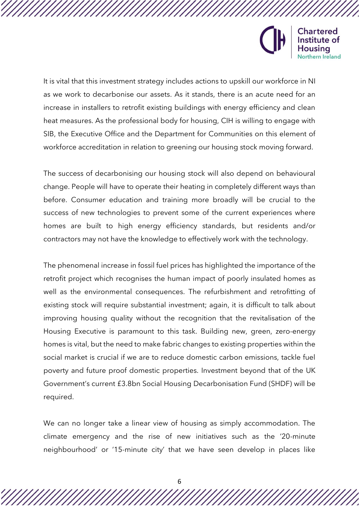

It is vital that this investment strategy includes actions to upskill our workforce in NI as we work to decarbonise our assets. As it stands, there is an acute need for an increase in installers to retrofit existing buildings with energy efficiency and clean heat measures. As the professional body for housing, CIH is willing to engage with SIB, the Executive Office and the Department for Communities on this element of workforce accreditation in relation to greening our housing stock moving forward.

The success of decarbonising our housing stock will also depend on behavioural change. People will have to operate their heating in completely different ways than before. Consumer education and training more broadly will be crucial to the success of new technologies to prevent some of the current experiences where homes are built to high energy efficiency standards, but residents and/or contractors may not have the knowledge to effectively work with the technology.

The phenomenal increase in fossil fuel prices has highlighted the importance of the retrofit project which recognises the human impact of poorly insulated homes as well as the environmental consequences. The refurbishment and retrofitting of existing stock will require substantial investment; again, it is difficult to talk about improving housing quality without the recognition that the revitalisation of the Housing Executive is paramount to this task. Building new, green, zero-energy homes is vital, but the need to make fabric changes to existing properties within the social market is crucial if we are to reduce domestic carbon emissions, tackle fuel poverty and future proof domestic properties. Investment beyond that of the UK Government's current £3.8bn Social Housing Decarbonisation Fund (SHDF) will be required.

We can no longer take a linear view of housing as simply accommodation. The climate emergency and the rise of new initiatives such as the '20-minute neighbourhood' or '15-minute city' that we have seen develop in places like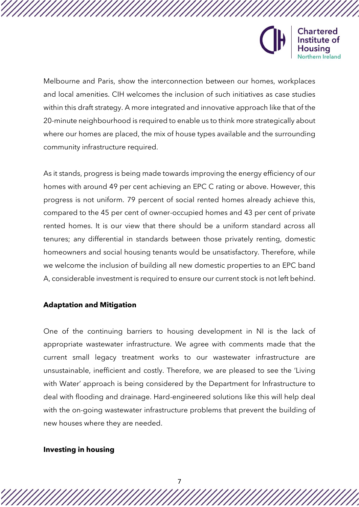

Melbourne and Paris, show the interconnection between our homes, workplaces and local amenities. CIH welcomes the inclusion of such initiatives as case studies within this draft strategy. A more integrated and innovative approach like that of the 20-minute neighbourhood is required to enable us to think more strategically about where our homes are placed, the mix of house types available and the surrounding community infrastructure required.

As it stands, progress is being made towards improving the energy efficiency of our homes with around 49 per cent achieving an EPC C rating or above. However, this progress is not uniform. 79 percent of social rented homes already achieve this, compared to the 45 per cent of owner-occupied homes and 43 per cent of private rented homes. It is our view that there should be a uniform standard across all tenures; any differential in standards between those privately renting, domestic homeowners and social housing tenants would be unsatisfactory. Therefore, while we welcome the inclusion of building all new domestic properties to an EPC band A, considerable investment is required to ensure our current stock is not left behind.

## **Adaptation and Mitigation**

One of the continuing barriers to housing development in NI is the lack of appropriate wastewater infrastructure. We agree with comments made that the current small legacy treatment works to our wastewater infrastructure are unsustainable, inefficient and costly. Therefore, we are pleased to see the 'Living with Water' approach is being considered by the Department for Infrastructure to deal with flooding and drainage. Hard-engineered solutions like this will help deal with the on-going wastewater infrastructure problems that prevent the building of new houses where they are needed.

#### **Investing in housing**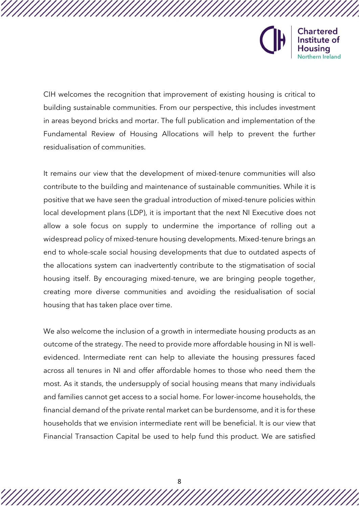

CIH welcomes the recognition that improvement of existing housing is critical to building sustainable communities. From our perspective, this includes investment in areas beyond bricks and mortar. The full publication and implementation of the Fundamental Review of Housing Allocations will help to prevent the further residualisation of communities.

It remains our view that the development of mixed-tenure communities will also contribute to the building and maintenance of sustainable communities. While it is positive that we have seen the gradual introduction of mixed-tenure policies within local development plans (LDP), it is important that the next NI Executive does not allow a sole focus on supply to undermine the importance of rolling out a widespread policy of mixed-tenure housing developments. Mixed-tenure brings an end to whole-scale social housing developments that due to outdated aspects of the allocations system can inadvertently contribute to the stigmatisation of social housing itself. By encouraging mixed-tenure, we are bringing people together, creating more diverse communities and avoiding the residualisation of social housing that has taken place over time.

We also welcome the inclusion of a growth in intermediate housing products as an outcome of the strategy. The need to provide more affordable housing in NI is wellevidenced. Intermediate rent can help to alleviate the housing pressures faced across all tenures in NI and offer affordable homes to those who need them the most. As it stands, the undersupply of social housing means that many individuals and families cannot get access to a social home. For lower-income households, the financial demand of the private rental market can be burdensome, and it is for these households that we envision intermediate rent will be beneficial. It is our view that Financial Transaction Capital be used to help fund this product. We are satisfied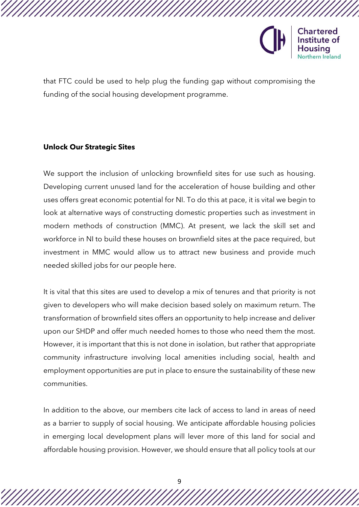

that FTC could be used to help plug the funding gap without compromising the funding of the social housing development programme.

# **Unlock Our Strategic Sites**

We support the inclusion of unlocking brownfield sites for use such as housing. Developing current unused land for the acceleration of house building and other uses offers great economic potential for NI. To do this at pace, it is vital we begin to look at alternative ways of constructing domestic properties such as investment in modern methods of construction (MMC). At present, we lack the skill set and workforce in NI to build these houses on brownfield sites at the pace required, but investment in MMC would allow us to attract new business and provide much needed skilled jobs for our people here.

It is vital that this sites are used to develop a mix of tenures and that priority is not given to developers who will make decision based solely on maximum return. The transformation of brownfield sites offers an opportunity to help increase and deliver upon our SHDP and offer much needed homes to those who need them the most. However, it is important that this is not done in isolation, but rather that appropriate community infrastructure involving local amenities including social, health and employment opportunities are put in place to ensure the sustainability of these new communities.

In addition to the above, our members cite lack of access to land in areas of need as a barrier to supply of social housing. We anticipate affordable housing policies in emerging local development plans will lever more of this land for social and affordable housing provision. However, we should ensure that all policy tools at our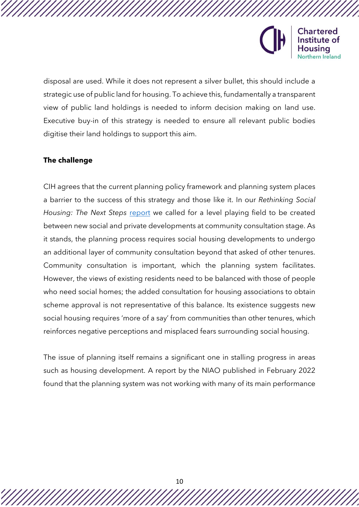

disposal are used. While it does not represent a silver bullet, this should include a strategic use of public land for housing. To achieve this, fundamentally a transparent view of public land holdings is needed to inform decision making on land use. Executive buy-in of this strategy is needed to ensure all relevant public bodies digitise their land holdings to support this aim.

# **The challenge**

CIH agrees that the current planning policy framework and planning system places a barrier to the success of this strategy and those like it. In our *Rethinking Social Housing: The Next Steps* [report](https://www.cih.org/media/c1llh25j/next-steps-northern-ireland.pdf) we called for a level playing field to be created between new social and private developments at community consultation stage. As it stands, the planning process requires social housing developments to undergo an additional layer of community consultation beyond that asked of other tenures. Community consultation is important, which the planning system facilitates. However, the views of existing residents need to be balanced with those of people who need social homes; the added consultation for housing associations to obtain scheme approval is not representative of this balance. Its existence suggests new social housing requires 'more of a say' from communities than other tenures, which reinforces negative perceptions and misplaced fears surrounding social housing.

The issue of planning itself remains a significant one in stalling progress in areas such as housing development. A report by the NIAO published in February 2022 found that the planning system was not working with many of its main performance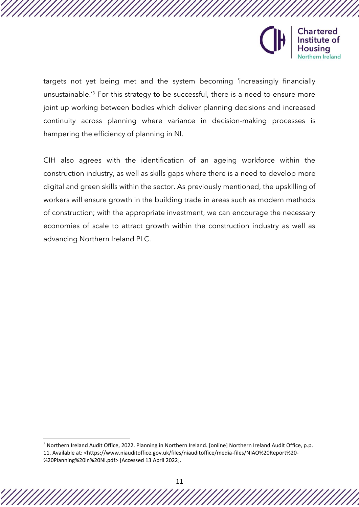

targets not yet being met and the system becoming 'increasingly financially unsustainable.' <sup>3</sup> For this strategy to be successful, there is a need to ensure more joint up working between bodies which deliver planning decisions and increased continuity across planning where variance in decision-making processes is hampering the efficiency of planning in NI.

CIH also agrees with the identification of an ageing workforce within the construction industry, as well as skills gaps where there is a need to develop more digital and green skills within the sector. As previously mentioned, the upskilling of workers will ensure growth in the building trade in areas such as modern methods of construction; with the appropriate investment, we can encourage the necessary economies of scale to attract growth within the construction industry as well as advancing Northern Ireland PLC.

<sup>3</sup> Northern Ireland Audit Office, 2022. Planning in Northern Ireland. [online] Northern Ireland Audit Office, p.p. 11. Available at: <https://www.niauditoffice.gov.uk/files/niauditoffice/media-files/NIAO%20Report%20- %20Planning%20in%20NI.pdf> [Accessed 13 April 2022].